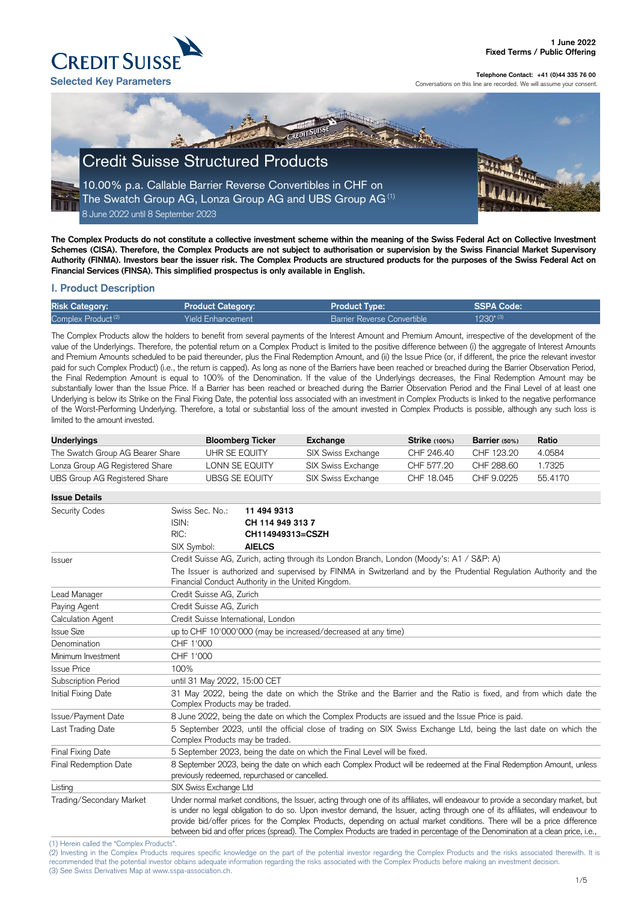(1) Herein called the "Complex Products".

(2) Investing in the Complex Products requires specific knowledge on the part of the potential investor regarding the Complex Products and the risks associated therewith. It is recommended that the potential investor obtains adequate information regarding the risks associated with the Complex Products before making an investment decision. (3) See Swiss Derivatives Map at www.sspa-association.ch.



**Telephone Contact: +41 (0)44 335 76 00**

Conversations on this line are recorded. We will assume your consent.

**The Complex Products do not constitute a collective investment scheme within the meaning of the Swiss Federal Act on Collective Investment Schemes (CISA). Therefore, the Complex Products are not subject to authorisation or supervision by the Swiss Financial Market Supervisory Authority (FINMA). Investors bear the issuer risk. The Complex Products are structured products for the purposes of the Swiss Federal Act on Financial Services (FINSA). This simplified prospectus is only available in English.**

# **I. Product Description**

| <b>Risk Category:</b>          | <b>Product Category:</b> | <b>Product Type:</b>               | SSPA Code:     |
|--------------------------------|--------------------------|------------------------------------|----------------|
| Complex Product <sup>(2)</sup> | <b>Yield Enhancement</b> | <b>Barrier Reverse Convertible</b> | $1930^{* (3)}$ |

The Complex Products allow the holders to benefit from several payments of the Interest Amount and Premium Amount, irrespective of the development of the value of the Underlyings. Therefore, the potential return on a Complex Product is limited to the positive difference between (i) the aggregate of Interest Amounts and Premium Amounts scheduled to be paid thereunder, plus the Final Redemption Amount, and (ii) the Issue Price (or, if different, the price the relevant investor paid for such Complex Product) (i.e., the return is capped). As long as none of the Barriers have been reached or breached during the Barrier Observation Period, the Final Redemption Amount is equal to 100% of the Denomination. If the value of the Underlyings decreases, the Final Redemption Amount may be substantially lower than the Issue Price. If a Barrier has been reached or breached during the Barrier Observation Period and the Final Level of at least one Underlying is below its Strike on the Final Fixing Date, the potential loss associated with an investment in Complex Products is linked to the negative performance of the Worst-Performing Underlying. Therefore, a total or substantial loss of the amount invested in Complex Products is possible, although any such loss is limited to the amount invested.

| <b>Underlyings</b>               | <b>Bloomberg Ticker</b> | Exchange           | <b>Strike</b> (100%) | Barrier $(50%)$ | Ratio   |
|----------------------------------|-------------------------|--------------------|----------------------|-----------------|---------|
| The Swatch Group AG Bearer Share | UHR SE EQUITY           | SIX Swiss Exchange | CHF 246.40           | CHF 123.20      | 4.0584  |
| Lonza Group AG Registered Share  | LONN SE EQUITY          | SIX Swiss Exchange | CHF 577.20           | CHF 288.60      | l.7325- |
| UBS Group AG Registered Share    | UBSG SE EQUITY          | SIX Swiss Exchange | CHF 18.045           | CHF 9.0225      | 55.4170 |

| <b>Issue Details</b>                                                       |                                                                                                                                                                                                                                                                                                                                                                                                                                                                                                                                           |                                                                                                                                                                          |  |
|----------------------------------------------------------------------------|-------------------------------------------------------------------------------------------------------------------------------------------------------------------------------------------------------------------------------------------------------------------------------------------------------------------------------------------------------------------------------------------------------------------------------------------------------------------------------------------------------------------------------------------|--------------------------------------------------------------------------------------------------------------------------------------------------------------------------|--|
| <b>Security Codes</b>                                                      | Swiss Sec. No.:                                                                                                                                                                                                                                                                                                                                                                                                                                                                                                                           | 11 494 9313                                                                                                                                                              |  |
|                                                                            | ISIN:                                                                                                                                                                                                                                                                                                                                                                                                                                                                                                                                     | CH 114 949 313 7                                                                                                                                                         |  |
|                                                                            | RIC:                                                                                                                                                                                                                                                                                                                                                                                                                                                                                                                                      | CH114949313=CSZH                                                                                                                                                         |  |
|                                                                            | SIX Symbol:                                                                                                                                                                                                                                                                                                                                                                                                                                                                                                                               | <b>AIELCS</b>                                                                                                                                                            |  |
| <b>Issuer</b>                                                              |                                                                                                                                                                                                                                                                                                                                                                                                                                                                                                                                           | Credit Suisse AG, Zurich, acting through its London Branch, London (Moody's: A1 / S&P: A)                                                                                |  |
|                                                                            |                                                                                                                                                                                                                                                                                                                                                                                                                                                                                                                                           | The Issuer is authorized and supervised by FINMA in Switzerland and by the Prudential Regulation Authority and the<br>Financial Conduct Authority in the United Kingdom. |  |
| Lead Manager                                                               | Credit Suisse AG, Zurich                                                                                                                                                                                                                                                                                                                                                                                                                                                                                                                  |                                                                                                                                                                          |  |
| Paying Agent                                                               | Credit Suisse AG, Zurich                                                                                                                                                                                                                                                                                                                                                                                                                                                                                                                  |                                                                                                                                                                          |  |
| <b>Calculation Agent</b>                                                   | Credit Suisse International, London                                                                                                                                                                                                                                                                                                                                                                                                                                                                                                       |                                                                                                                                                                          |  |
| <b>Issue Size</b>                                                          |                                                                                                                                                                                                                                                                                                                                                                                                                                                                                                                                           | up to CHF 10'000'000 (may be increased/decreased at any time)                                                                                                            |  |
| Denomination                                                               | CHF 1'000                                                                                                                                                                                                                                                                                                                                                                                                                                                                                                                                 |                                                                                                                                                                          |  |
| Minimum Investment                                                         | CHF 1'000                                                                                                                                                                                                                                                                                                                                                                                                                                                                                                                                 |                                                                                                                                                                          |  |
| <b>Issue Price</b>                                                         | 100%                                                                                                                                                                                                                                                                                                                                                                                                                                                                                                                                      |                                                                                                                                                                          |  |
| Subscription Period                                                        | until 31 May 2022, 15:00 CET                                                                                                                                                                                                                                                                                                                                                                                                                                                                                                              |                                                                                                                                                                          |  |
| Initial Fixing Date                                                        | Complex Products may be traded.                                                                                                                                                                                                                                                                                                                                                                                                                                                                                                           | 31 May 2022, being the date on which the Strike and the Barrier and the Ratio is fixed, and from which date the                                                          |  |
| Issue/Payment Date                                                         |                                                                                                                                                                                                                                                                                                                                                                                                                                                                                                                                           | 8 June 2022, being the date on which the Complex Products are issued and the Issue Price is paid.                                                                        |  |
| Last Trading Date                                                          | Complex Products may be traded.                                                                                                                                                                                                                                                                                                                                                                                                                                                                                                           | 5 September 2023, until the official close of trading on SIX Swiss Exchange Ltd, being the last date on which the                                                        |  |
| Final Fixing Date                                                          |                                                                                                                                                                                                                                                                                                                                                                                                                                                                                                                                           | 5 September 2023, being the date on which the Final Level will be fixed.                                                                                                 |  |
| Final Redemption Date                                                      |                                                                                                                                                                                                                                                                                                                                                                                                                                                                                                                                           | 8 September 2023, being the date on which each Complex Product will be redeemed at the Final Redemption Amount, unless<br>previously redeemed, repurchased or cancelled. |  |
| Listing                                                                    | SIX Swiss Exchange Ltd                                                                                                                                                                                                                                                                                                                                                                                                                                                                                                                    |                                                                                                                                                                          |  |
| Trading/Secondary Market<br>$(45.11 \tcdot 11.11 \tcdot 10.01 \tcdot 1.7)$ | Under normal market conditions, the Issuer, acting through one of its affiliates, will endeavour to provide a secondary market, but<br>is under no legal obligation to do so. Upon investor demand, the Issuer, acting through one of its affiliates, will endeavour to<br>provide bid/offer prices for the Complex Products, depending on actual market conditions. There will be a price difference<br>between bid and offer prices (spread). The Complex Products are traded in percentage of the Denomination at a clean price, i.e., |                                                                                                                                                                          |  |

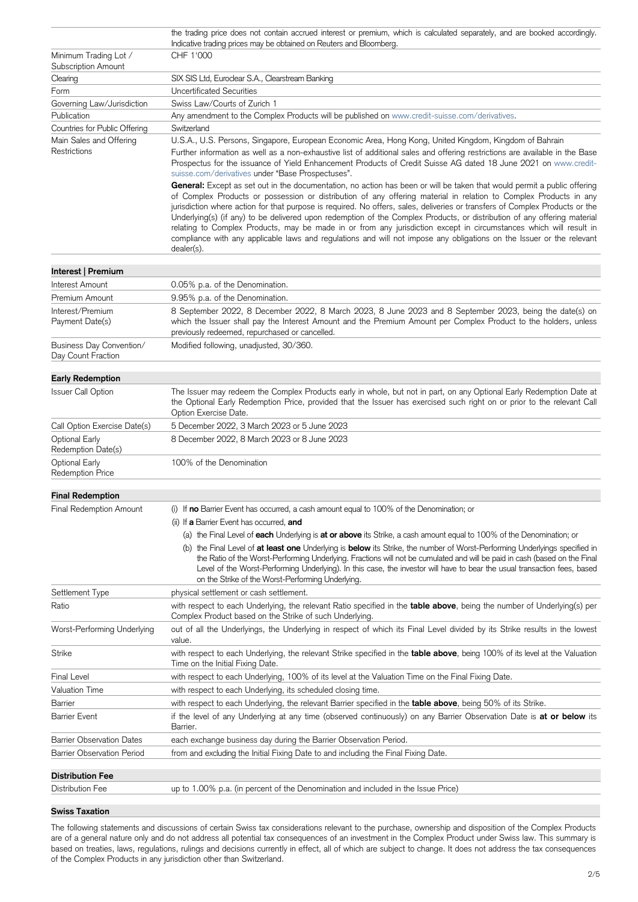|                                                  | the trading price does not contain accrued interest or premium, which is calculated separately, and are booked accordingly.<br>Indicative trading prices may be obtained on Reuters and Bloomberg.                                                                                                                                                                                                                                                                                                                                                                                                                                                                                                                                                                     |
|--------------------------------------------------|------------------------------------------------------------------------------------------------------------------------------------------------------------------------------------------------------------------------------------------------------------------------------------------------------------------------------------------------------------------------------------------------------------------------------------------------------------------------------------------------------------------------------------------------------------------------------------------------------------------------------------------------------------------------------------------------------------------------------------------------------------------------|
| Minimum Trading Lot /<br>Subscription Amount     | CHF 1'000                                                                                                                                                                                                                                                                                                                                                                                                                                                                                                                                                                                                                                                                                                                                                              |
| Clearing                                         | SIX SIS Ltd, Euroclear S.A., Clearstream Banking                                                                                                                                                                                                                                                                                                                                                                                                                                                                                                                                                                                                                                                                                                                       |
| Form                                             | <b>Uncertificated Securities</b>                                                                                                                                                                                                                                                                                                                                                                                                                                                                                                                                                                                                                                                                                                                                       |
| Governing Law/Jurisdiction                       | Swiss Law/Courts of Zurich 1                                                                                                                                                                                                                                                                                                                                                                                                                                                                                                                                                                                                                                                                                                                                           |
| Publication                                      | Any amendment to the Complex Products will be published on www.credit-suisse.com/derivatives.                                                                                                                                                                                                                                                                                                                                                                                                                                                                                                                                                                                                                                                                          |
| Countries for Public Offering                    | Switzerland                                                                                                                                                                                                                                                                                                                                                                                                                                                                                                                                                                                                                                                                                                                                                            |
| Main Sales and Offering<br>Restrictions          | U.S.A., U.S. Persons, Singapore, European Economic Area, Hong Kong, United Kingdom, Kingdom of Bahrain<br>Further information as well as a non-exhaustive list of additional sales and offering restrictions are available in the Base<br>Prospectus for the issuance of Yield Enhancement Products of Credit Suisse AG dated 18 June 2021 on www.credit-<br>suisse.com/derivatives under "Base Prospectuses".                                                                                                                                                                                                                                                                                                                                                         |
|                                                  | General: Except as set out in the documentation, no action has been or will be taken that would permit a public offering<br>of Complex Products or possession or distribution of any offering material in relation to Complex Products in any<br>jurisdiction where action for that purpose is required. No offers, sales, deliveries or transfers of Complex Products or the<br>Underlying(s) (if any) to be delivered upon redemption of the Complex Products, or distribution of any offering material<br>relating to Complex Products, may be made in or from any jurisdiction except in circumstances which will result in<br>compliance with any applicable laws and regulations and will not impose any obligations on the Issuer or the relevant<br>dealer(s). |
| Interest   Premium                               |                                                                                                                                                                                                                                                                                                                                                                                                                                                                                                                                                                                                                                                                                                                                                                        |
| Interest Amount                                  | 0.05% p.a. of the Denomination.                                                                                                                                                                                                                                                                                                                                                                                                                                                                                                                                                                                                                                                                                                                                        |
| Premium Amount                                   | 9.95% p.a. of the Denomination.                                                                                                                                                                                                                                                                                                                                                                                                                                                                                                                                                                                                                                                                                                                                        |
| Interest/Premium<br>Payment Date(s)              | 8 September 2022, 8 December 2022, 8 March 2023, 8 June 2023 and 8 September 2023, being the date(s) on<br>which the Issuer shall pay the Interest Amount and the Premium Amount per Complex Product to the holders, unless<br>previously redeemed, repurchased or cancelled.                                                                                                                                                                                                                                                                                                                                                                                                                                                                                          |
| Business Day Convention/<br>Day Count Fraction   | Modified following, unadjusted, 30/360.                                                                                                                                                                                                                                                                                                                                                                                                                                                                                                                                                                                                                                                                                                                                |
| <b>Early Redemption</b>                          |                                                                                                                                                                                                                                                                                                                                                                                                                                                                                                                                                                                                                                                                                                                                                                        |
| <b>Issuer Call Option</b>                        | The Issuer may redeem the Complex Products early in whole, but not in part, on any Optional Early Redemption Date at<br>the Optional Early Redemption Price, provided that the Issuer has exercised such right on or prior to the relevant Call<br>Option Exercise Date.                                                                                                                                                                                                                                                                                                                                                                                                                                                                                               |
| Call Option Exercise Date(s)                     | 5 December 2022, 3 March 2023 or 5 June 2023                                                                                                                                                                                                                                                                                                                                                                                                                                                                                                                                                                                                                                                                                                                           |
| <b>Optional Early</b><br>Redemption Date(s)      | 8 December 2022, 8 March 2023 or 8 June 2023                                                                                                                                                                                                                                                                                                                                                                                                                                                                                                                                                                                                                                                                                                                           |
| <b>Optional Early</b><br><b>Redemption Price</b> | 100% of the Denomination                                                                                                                                                                                                                                                                                                                                                                                                                                                                                                                                                                                                                                                                                                                                               |
| <b>Final Redemption</b>                          |                                                                                                                                                                                                                                                                                                                                                                                                                                                                                                                                                                                                                                                                                                                                                                        |
| <b>Final Redemption Amount</b>                   | (i) If <b>no</b> Barrier Event has occurred, a cash amount equal to 100% of the Denomination; or                                                                                                                                                                                                                                                                                                                                                                                                                                                                                                                                                                                                                                                                       |
|                                                  | (ii) If a Barrier Event has occurred, and                                                                                                                                                                                                                                                                                                                                                                                                                                                                                                                                                                                                                                                                                                                              |
|                                                  | (a) the Final Level of each Underlying is at or above its Strike, a cash amount equal to 100% of the Denomination; or                                                                                                                                                                                                                                                                                                                                                                                                                                                                                                                                                                                                                                                  |
|                                                  | (b) the Final Level of at least one Underlying is below its Strike, the number of Worst-Performing Underlyings specified in<br>the Ratio of the Worst-Performing Underlying. Fractions will not be cumulated and will be paid in cash (based on the Final<br>Level of the Worst-Performing Underlying). In this case, the investor will have to bear the usual transaction fees, based<br>on the Strike of the Worst-Performing Underlying.                                                                                                                                                                                                                                                                                                                            |
| Settlement Type                                  | physical settlement or cash settlement.                                                                                                                                                                                                                                                                                                                                                                                                                                                                                                                                                                                                                                                                                                                                |
| Ratio                                            | with respect to each Underlying, the relevant Ratio specified in the table above, being the number of Underlying(s) per<br>Complex Product based on the Strike of such Underlying.                                                                                                                                                                                                                                                                                                                                                                                                                                                                                                                                                                                     |
| Worst-Performing Underlying                      | out of all the Underlyings, the Underlying in respect of which its Final Level divided by its Strike results in the lowest<br>value.                                                                                                                                                                                                                                                                                                                                                                                                                                                                                                                                                                                                                                   |
| <b>Strike</b>                                    | with respect to each Underlying, the relevant Strike specified in the table above, being 100% of its level at the Valuation<br>Time on the Initial Fixing Date.                                                                                                                                                                                                                                                                                                                                                                                                                                                                                                                                                                                                        |
| <b>Final Level</b>                               | with respect to each Underlying, 100% of its level at the Valuation Time on the Final Fixing Date.                                                                                                                                                                                                                                                                                                                                                                                                                                                                                                                                                                                                                                                                     |
| <b>Valuation Time</b>                            | with respect to each Underlying, its scheduled closing time.                                                                                                                                                                                                                                                                                                                                                                                                                                                                                                                                                                                                                                                                                                           |
| Barrier                                          | with respect to each Underlying, the relevant Barrier specified in the <b>table above</b> , being 50% of its Strike.                                                                                                                                                                                                                                                                                                                                                                                                                                                                                                                                                                                                                                                   |
| <b>Barrier Event</b>                             | if the level of any Underlying at any time (observed continuously) on any Barrier Observation Date is at or below its<br>Barrier.                                                                                                                                                                                                                                                                                                                                                                                                                                                                                                                                                                                                                                      |
| <b>Barrier Observation Dates</b>                 | each exchange business day during the Barrier Observation Period.                                                                                                                                                                                                                                                                                                                                                                                                                                                                                                                                                                                                                                                                                                      |
| <b>Barrier Observation Period</b>                | from and excluding the Initial Fixing Date to and including the Final Fixing Date.                                                                                                                                                                                                                                                                                                                                                                                                                                                                                                                                                                                                                                                                                     |
| <b>Distribution Fee</b>                          |                                                                                                                                                                                                                                                                                                                                                                                                                                                                                                                                                                                                                                                                                                                                                                        |
| <b>Distribution Fee</b>                          | up to 1.00% p.a. (in percent of the Denomination and included in the Issue Price)                                                                                                                                                                                                                                                                                                                                                                                                                                                                                                                                                                                                                                                                                      |
|                                                  |                                                                                                                                                                                                                                                                                                                                                                                                                                                                                                                                                                                                                                                                                                                                                                        |

# **Swiss Taxation**

The following statements and discussions of certain Swiss tax considerations relevant to the purchase, ownership and disposition of the Complex Products are of a general nature only and do not address all potential tax consequences of an investment in the Complex Product under Swiss law. This summary is based on treaties, laws, regulations, rulings and decisions currently in effect, all of which are subject to change. It does not address the tax consequences of the Complex Products in any jurisdiction other than Switzerland.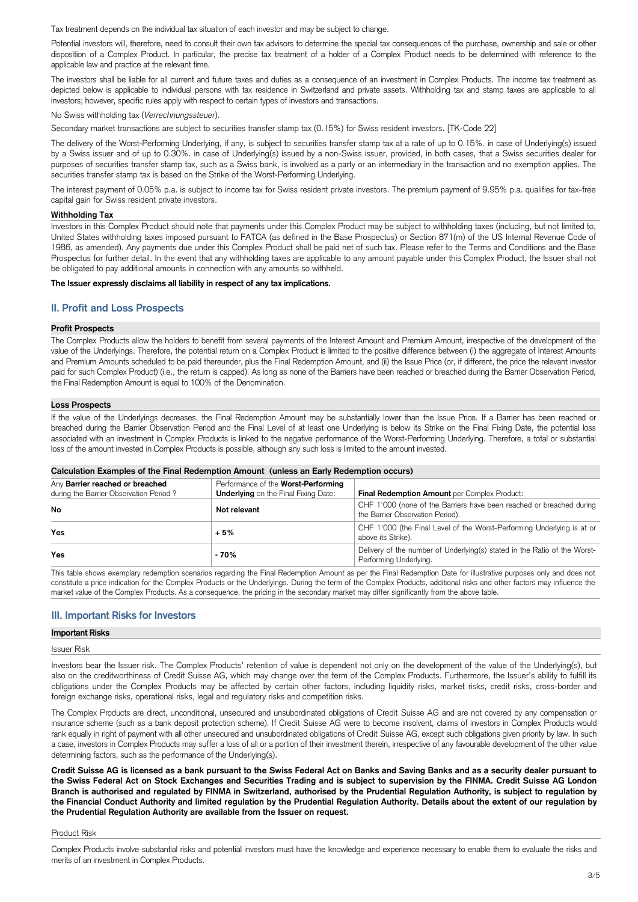Tax treatment depends on the individual tax situation of each investor and may be subject to change.

Potential investors will, therefore, need to consult their own tax advisors to determine the special tax consequences of the purchase, ownership and sale or other disposition of a Complex Product. In particular, the precise tax treatment of a holder of a Complex Product needs to be determined with reference to the applicable law and practice at the relevant time.

The investors shall be liable for all current and future taxes and duties as a consequence of an investment in Complex Products. The income tax treatment as depicted below is applicable to individual persons with tax residence in Switzerland and private assets. Withholding tax and stamp taxes are applicable to all investors; however, specific rules apply with respect to certain types of investors and transactions.

No Swiss withholding tax (*Verrechnungssteuer*).

Secondary market transactions are subject to securities transfer stamp tax (0.15%) for Swiss resident investors. [TK-Code 22]

The delivery of the Worst-Performing Underlying, if any, is subject to securities transfer stamp tax at a rate of up to 0.15%. in case of Underlying(s) issued by a Swiss issuer and of up to 0.30%. in case of Underlying(s) issued by a non-Swiss issuer, provided, in both cases, that a Swiss securities dealer for purposes of securities transfer stamp tax, such as a Swiss bank, is involved as a party or an intermediary in the transaction and no exemption applies. The securities transfer stamp tax is based on the Strike of the Worst-Performing Underlying.

The interest payment of 0.05% p.a. is subject to income tax for Swiss resident private investors. The premium payment of 9.95% p.a. qualifies for tax-free capital gain for Swiss resident private investors.

# **Withholding Tax**

Investors in this Complex Product should note that payments under this Complex Product may be subject to withholding taxes (including, but not limited to, United States withholding taxes imposed pursuant to FATCA (as defined in the Base Prospectus) or Section 871(m) of the US Internal Revenue Code of 1986, as amended). Any payments due under this Complex Product shall be paid net of such tax. Please refer to the Terms and Conditions and the Base Prospectus for further detail. In the event that any withholding taxes are applicable to any amount payable under this Complex Product, the Issuer shall not be obligated to pay additional amounts in connection with any amounts so withheld.

# **The Issuer expressly disclaims all liability in respect of any tax implications.**

# **II. Profit and Loss Prospects**

# **Profit Prospects**

The Complex Products allow the holders to benefit from several payments of the Interest Amount and Premium Amount, irrespective of the development of the value of the Underlyings. Therefore, the potential return on a Complex Product is limited to the positive difference between (i) the aggregate of Interest Amounts and Premium Amounts scheduled to be paid thereunder, plus the Final Redemption Amount, and (ii) the Issue Price (or, if different, the price the relevant investor paid for such Complex Product) (i.e., the return is capped). As long as none of the Barriers have been reached or breached during the Barrier Observation Period, the Final Redemption Amount is equal to 100% of the Denomination.

# **Loss Prospects**

If the value of the Underlyings decreases, the Final Redemption Amount may be substantially lower than the Issue Price. If a Barrier has been reached or breached during the Barrier Observation Period and the Final Level of at least one Underlying is below its Strike on the Final Fixing Date, the potential loss associated with an investment in Complex Products is linked to the negative performance of the Worst-Performing Underlying. Therefore, a total or substantial loss of the amount invested in Complex Products is possible, although any such loss is limited to the amount invested.

# **Calculation Examples of the Final Redemption Amount (unless an Early Redemption occurs)**

| Any Barrier reached or breached        | Performance of the Worst-Performing         |                                                                                                          |
|----------------------------------------|---------------------------------------------|----------------------------------------------------------------------------------------------------------|
| during the Barrier Observation Period? | <b>Underlying</b> on the Final Fixing Date: | Final Redemption Amount per Complex Product:                                                             |
| No                                     | Not relevant                                | CHF 1'000 (none of the Barriers have been reached or breached during<br>the Barrier Observation Period). |
| <b>Yes</b>                             | $+5%$                                       | CHF 1'000 (the Final Level of the Worst-Performing Underlying is at or<br>above its Strike).             |
| Yes                                    | - 70%                                       | Delivery of the number of Underlying(s) stated in the Ratio of the Worst-<br>Performing Underlying.      |

This table shows exemplary redemption scenarios regarding the Final Redemption Amount as per the Final Redemption Date for illustrative purposes only and does not constitute a price indication for the Complex Products or the Underlyings. During the term of the Complex Products, additional risks and other factors may influence the market value of the Complex Products. As a consequence, the pricing in the secondary market may differ significantly from the above table.

# **III. Important Risks for Investors**

# **Important Risks**

Issuer Risk

Investors bear the Issuer risk. The Complex Products' retention of value is dependent not only on the development of the value of the Underlying(s), but also on the creditworthiness of Credit Suisse AG, which may change over the term of the Complex Products. Furthermore, the Issuer's ability to fulfill its

obligations under the Complex Products may be affected by certain other factors, including liquidity risks, market risks, credit risks, cross-border and foreign exchange risks, operational risks, legal and regulatory risks and competition risks.

The Complex Products are direct, unconditional, unsecured and unsubordinated obligations of Credit Suisse AG and are not covered by any compensation or insurance scheme (such as a bank deposit protection scheme). If Credit Suisse AG were to become insolvent, claims of investors in Complex Products would rank equally in right of payment with all other unsecured and unsubordinated obligations of Credit Suisse AG, except such obligations given priority by law. In such a case, investors in Complex Products may suffer a loss of all or a portion of their investment therein, irrespective of any favourable development of the other value determining factors, such as the performance of the Underlying(s).

**Credit Suisse AG is licensed as a bank pursuant to the Swiss Federal Act on Banks and Saving Banks and as a security dealer pursuant to the Swiss Federal Act on Stock Exchanges and Securities Trading and is subject to supervision by the FINMA. Credit Suisse AG London Branch is authorised and regulated by FINMA in Switzerland, authorised by the Prudential Regulation Authority, is subject to regulation by the Financial Conduct Authority and limited regulation by the Prudential Regulation Authority. Details about the extent of our regulation by the Prudential Regulation Authority are available from the Issuer on request.**

Product Risk

Complex Products involve substantial risks and potential investors must have the knowledge and experience necessary to enable them to evaluate the risks and merits of an investment in Complex Products.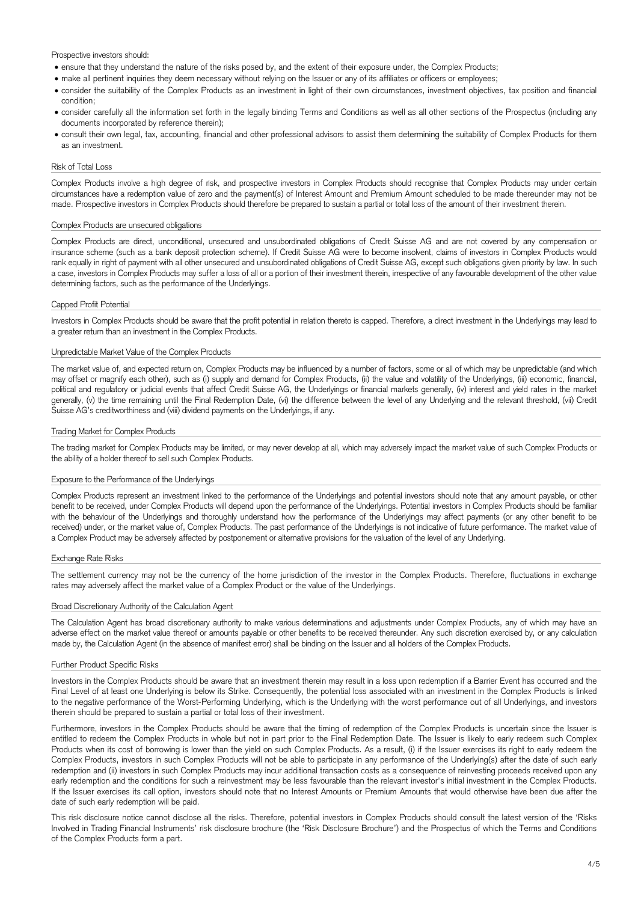Prospective investors should:

- ensure that they understand the nature of the risks posed by, and the extent of their exposure under, the Complex Products;
- make all pertinent inquiries they deem necessary without relying on the Issuer or any of its affiliates or officers or employees;
- consider the suitability of the Complex Products as an investment in light of their own circumstances, investment objectives, tax position and financial condition;
- consider carefully all the information set forth in the legally binding Terms and Conditions as well as all other sections of the Prospectus (including any documents incorporated by reference therein);
- consult their own legal, tax, accounting, financial and other professional advisors to assist them determining the suitability of Complex Products for them as an investment.

# Risk of Total Loss

Complex Products involve a high degree of risk, and prospective investors in Complex Products should recognise that Complex Products may under certain circumstances have a redemption value of zero and the payment(s) of Interest Amount and Premium Amount scheduled to be made thereunder may not be made. Prospective investors in Complex Products should therefore be prepared to sustain a partial or total loss of the amount of their investment therein.

### Complex Products are unsecured obligations

Complex Products are direct, unconditional, unsecured and unsubordinated obligations of Credit Suisse AG and are not covered by any compensation or insurance scheme (such as a bank deposit protection scheme). If Credit Suisse AG were to become insolvent, claims of investors in Complex Products would rank equally in right of payment with all other unsecured and unsubordinated obligations of Credit Suisse AG, except such obligations given priority by law. In such a case, investors in Complex Products may suffer a loss of all or a portion of their investment therein, irrespective of any favourable development of the other value determining factors, such as the performance of the Underlyings.

# Capped Profit Potential

Investors in Complex Products should be aware that the profit potential in relation thereto is capped. Therefore, a direct investment in the Underlyings may lead to a greater return than an investment in the Complex Products.

# Unpredictable Market Value of the Complex Products

The market value of, and expected return on, Complex Products may be influenced by a number of factors, some or all of which may be unpredictable (and which may offset or magnify each other), such as (i) supply and demand for Complex Products, (ii) the value and volatility of the Underlyings, (iii) economic, financial, political and regulatory or judicial events that affect Credit Suisse AG, the Underlyings or financial markets generally, (iv) interest and yield rates in the market generally, (v) the time remaining until the Final Redemption Date, (vi) the difference between the level of any Underlying and the relevant threshold, (vii) Credit Suisse AG's creditworthiness and (viii) dividend payments on the Underlyings, if any.

# Trading Market for Complex Products

The trading market for Complex Products may be limited, or may never develop at all, which may adversely impact the market value of such Complex Products or the ability of a holder thereof to sell such Complex Products.

# Exposure to the Performance of the Underlyings

Complex Products represent an investment linked to the performance of the Underlyings and potential investors should note that any amount payable, or other benefit to be received, under Complex Products will depend upon the performance of the Underlyings. Potential investors in Complex Products should be familiar with the behaviour of the Underlyings and thoroughly understand how the performance of the Underlyings may affect payments (or any other benefit to be received) under, or the market value of, Complex Products. The past performance of the Underlyings is not indicative of future performance. The market value of a Complex Product may be adversely affected by postponement or alternative provisions for the valuation of the level of any Underlying.

#### Exchange Rate Risks

The settlement currency may not be the currency of the home jurisdiction of the investor in the Complex Products. Therefore, fluctuations in exchange rates may adversely affect the market value of a Complex Product or the value of the Underlyings.

# Broad Discretionary Authority of the Calculation Agent

The Calculation Agent has broad discretionary authority to make various determinations and adjustments under Complex Products, any of which may have an adverse effect on the market value thereof or amounts payable or other benefits to be received thereunder. Any such discretion exercised by, or any calculation made by, the Calculation Agent (in the absence of manifest error) shall be binding on the Issuer and all holders of the Complex Products.

#### Further Product Specific Risks

Investors in the Complex Products should be aware that an investment therein may result in a loss upon redemption if a Barrier Event has occurred and the Final Level of at least one Underlying is below its Strike. Consequently, the potential loss associated with an investment in the Complex Products is linked to the negative performance of the Worst-Performing Underlying, which is the Underlying with the worst performance out of all Underlyings, and investors therein should be prepared to sustain a partial or total loss of their investment.

Furthermore, investors in the Complex Products should be aware that the timing of redemption of the Complex Products is uncertain since the Issuer is entitled to redeem the Complex Products in whole but not in part prior to the Final Redemption Date. The Issuer is likely to early redeem such Complex Products when its cost of borrowing is lower than the yield on such Complex Products. As a result, (i) if the Issuer exercises its right to early redeem the Complex Products, investors in such Complex Products will not be able to participate in any performance of the Underlying(s) after the date of such early redemption and (ii) investors in such Complex Products may incur additional transaction costs as a consequence of reinvesting proceeds received upon any early redemption and the conditions for such a reinvestment may be less favourable than the relevant investor's initial investment in the Complex Products. If the Issuer exercises its call option, investors should note that no Interest Amounts or Premium Amounts that would otherwise have been due after the date of such early redemption will be paid.

This risk disclosure notice cannot disclose all the risks. Therefore, potential investors in Complex Products should consult the latest version of the 'Risks Involved in Trading Financial Instruments' risk disclosure brochure (the 'Risk Disclosure Brochure') and the Prospectus of which the Terms and Conditions of the Complex Products form a part.